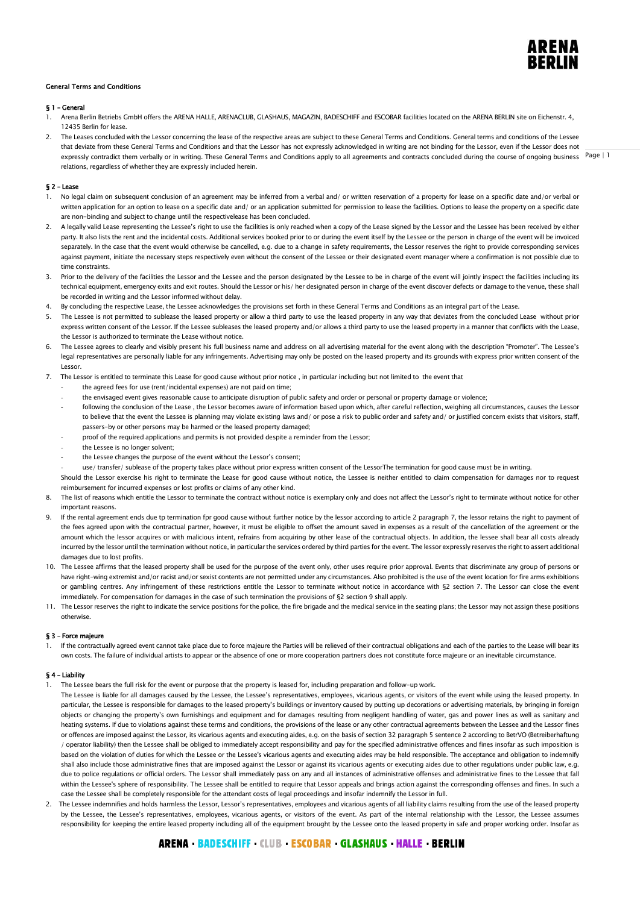

# General Terms and Conditions

### § 1 – General

- 1. Arena Berlin Betriebs GmbH offers the ARENA HALLE, ARENACLUB, GLASHAUS, MAGAZIN, BADESCHIFF and ESCOBAR facilities located on the ARENA BERLIN site on Eichenstr. 4, 12435 Berlin for lease.
- expressly contradict them verbally or in writing. These General Terms and Conditions apply to all agreements and contracts concluded during the course of ongoing business Page | 1 2. The Leases concluded with the Lessor concerning the lease of the respective areas are subject to these General Terms and Conditions. General terms and conditions of the Lessee that deviate from these General Terms and Conditions and that the Lessor has not expressly acknowledged in writing are not binding for the Lessor, even if the Lessor does not relations, regardless of whether they are expressly included herein.

### § 2 – Lease

- 1. No legal claim on subsequent conclusion of an agreement may be inferred from a verbal and/or written reservation of a property for lease on a specific date and/or verbal or written application for an option to lease on a specific date and/ or an application submitted for permission to lease the facilities. Options to lease the property on a specific date are non-binding and subject to change until the respectivelease has been concluded.
- 2. A legally valid Lease representing the Lessee's right to use the facilities is only reached when a copy of the Lease signed by the Lessor and the Lessee has been received by either party. It also lists the rent and the incidental costs. Additional services booked prior to or during the event itself by the Lessee or the person in charge of the event will be invoiced separately. In the case that the event would otherwise be cancelled, e.g. due to a change in safety requirements, the Lessor reserves the right to provide corresponding services against payment, initiate the necessary steps respectively even without the consent of the Lessee or their designated event manager where a confirmation is not possible due to time constraints.
- 3. Prior to the delivery of the facilities the Lessor and the Lessee and the person designated by the Lessee to be in charge of the event will jointly inspect the facilities including its technical equipment, emergency exits and exit routes. Should the Lessor or his/ her designated person in charge of the event discover defects or damage to the venue, these shall be recorded in writing and the Lessor informed without delay.
- By concluding the respective Lease, the Lessee acknowledges the provisions set forth in these General Terms and Conditions as an integral part of the Lease
- 5. The Lessee is not permitted to sublease the leased property or allow a third party to use the leased property in any way that deviates from the concluded Lease without prior express written consent of the Lessor. If the Lessee subleases the leased property and/or allows a third party to use the leased property in a manner that conflicts with the Lease. the Lessor is authorized to terminate the Lease without notice.
- 6. The Lessee agrees to clearly and visibly present his full business name and address on all advertising material for the event along with the description "Promoter". The Lessee's legal representatives are personally liable for any infringements. Advertising may only be posted on the leased property and its grounds with express prior written consent of the Lessor.
- 7. The Lessor is entitled to terminate this Lease for good cause without prior notice , in particular including but not limited to the event that
	- the agreed fees for use (rent/incidental expenses) are not paid on time;
		- the envisaged event gives reasonable cause to anticipate disruption of public safety and order or personal or property damage or violence;
		- following the conclusion of the Lease, the Lessor becomes aware of information based upon which, after careful reflection, weighing all circumstances, causes the Lessor to believe that the event the Lessee is planning may violate existing laws and/ or pose a risk to public order and safety and/ or justified concern exists that visitors, staff, passers-by or other persons may be harmed or the leased property damaged;
		- proof of the required applications and permits is not provided despite a reminder from the Lessor;
	- the Lessee is no longer solvent;
	- the Lessee changes the purpose of the event without the Lessor's consent;
	- use/ transfer/ sublease of the property takes place without prior express written consent of the LessorThe termination for good cause must be in writing.
	- Should the Lessor exercise his right to terminate the Lease for good cause without notice, the Lessee is neither entitled to claim compensation for damages nor to request reimbursement for incurred expenses or lost profits or claims of any other kind.
- The list of reasons which entitle the Lessor to terminate the contract without notice is exemplary only and does not affect the Lessor's right to terminate without notice for other important reasons.
- 9. If the rental agreement ends due tp termination fpr good cause without further notice by the lessor according to article 2 paragraph 7, the lessor retains the right to payment of the fees agreed upon with the contractual partner, however, it must be eligible to offset the amount saved in expenses as a result of the cancellation of the agreement or the amount which the lessor acquires or with malicious intent, refrains from acquiring by other lease of the contractual objects. In addition, the lessee shall bear all costs already incurred by the lessor until the termination without notice, in particular the services ordered by third parties for the event. The lessor expressly reserves the right to assert additional damages due to lost profits.
- 10. The Lessee affirms that the leased property shall be used for the purpose of the event only, other uses require prior approval. Events that discriminate any group of persons or have right-wing extremist and/or racist and/or sexist contents are not permitted under any circumstances. Also prohibited is the use of the event location for fire arms exhibitions or gambling centres. Any infringement of these restrictions entitle the Lessor to terminate without notice in accordance with §2 section 7. The Lessor can close the event immediately. For compensation for damages in the case of such termination the provisions of §2 section 9 shall apply.
- 11. The Lessor reserves the right to indicate the service positions for the police, the fire brigade and the medical service in the seating plans; the Lessor may not assign these positions otherwise.

## § 3 – Force majeure

If the contractually agreed event cannot take place due to force majeure the Parties will be relieved of their contractual obligations and each of the parties to the Lease will bear its own costs. The failure of individual artists to appear or the absence of one or more cooperation partners does not constitute force majeure or an inevitable circumstance.

### § 4 – Liability

1. The Lessee bears the full risk for the event or purpose that the property is leased for, including preparation and follow-up work.

- The Lessee is liable for all damages caused by the Lessee, the Lessee's representatives, employees, vicarious agents, or visitors of the event while using the leased property. In particular, the Lessee is responsible for damages to the leased property's buildings or inventory caused by putting up decorations or advertising materials, by bringing in foreign objects or changing the property's own furnishings and equipment and for damages resulting from negligent handling of water, gas and power lines as well as sanitary and heating systems. If due to violations against these terms and conditions, the provisions of the lease or any other contractual agreements between the Lessee and the Lessor fines or offences are imposed against the Lessor, its vicarious agents and executing aides, e.g. on the basis of section 32 paragraph 5 sentence 2 according to BetrVO (Betreiberhaftung / operator liability) then the Lessee shall be obliged to immediately accept responsibility and pay for the specified administrative offences and fines insofar as such imposition is based on the violation of duties for which the Lessee or the Lessee's vicarious agents and executing aides may be held responsible. The acceptance and obligation to indemnify shall also include those administrative fines that are imposed against the Lessor or against its vicarious agents or executing aides due to other regulations under public law, e.g. due to police regulations or official orders. The Lessor shall immediately pass on any and all instances of administrative offenses and administrative fines to the Lessee that fall within the Lessee's sphere of responsibility. The Lessee shall be entitled to require that Lessor appeals and brings action against the corresponding offenses and fines. In such a case the Lessee shall be completely responsible for the attendant costs of legal proceedings and insofar indemnify the Lessor in full.
- 2. The Lessee indemnifies and holds harmless the Lessor, Lessor's representatives, employees and vicarious agents of all liability claims resulting from the use of the leased property by the Lessee, the Lessee's representatives, employees, vicarious agents, or visitors of the event. As part of the internal relationship with the Lessor, the Lessee assumes responsibility for keeping the entire leased property including all of the equipment brought by the Lessee onto the leased property in safe and proper working order. Insofar as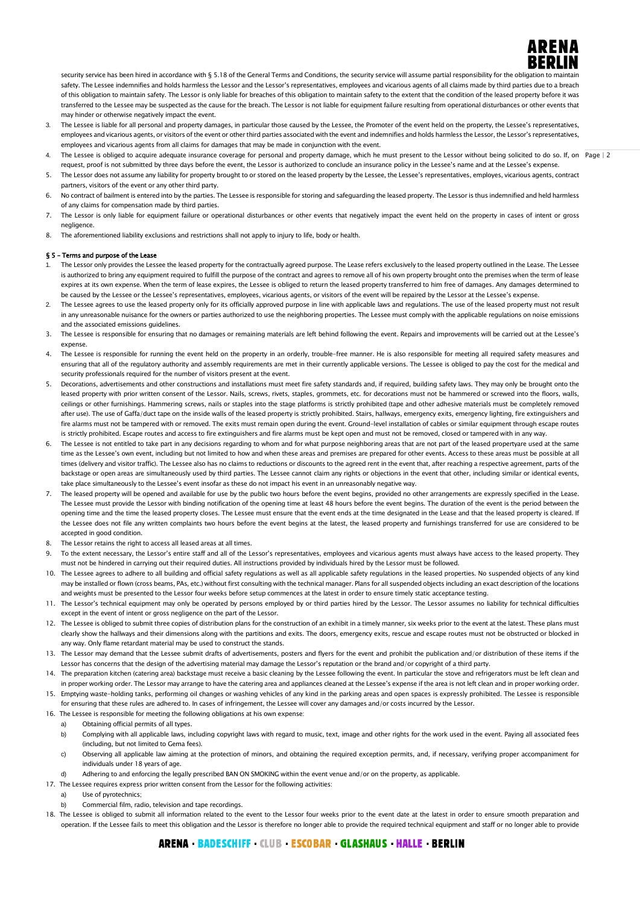

security service has been hired in accordance with § 5.18 of the General Terms and Conditions, the security service will assume partial responsibility for the obligation to maintain safety. The Lessee indemnifies and holds harmless the Lessor and the Lessor's representatives, employees and vicarious agents of all claims made by third parties due to a breach of this obligation to maintain safety. The Lessor is only liable for breaches of this obligation to maintain safety to the extent that the condition of the leased property before it was transferred to the Lessee may be suspected as the cause for the breach. The Lessor is not liable for equipment failure resulting from operational disturbances or other events that may hinder or otherwise negatively impact the event.

- 3. The Lessee is liable for all personal and property damages, in particular those caused by the Lessee, the Promoter of the event held on the property, the Lessee's representatives, employees and vicarious agents, or visitors of the event or other third parties associated with the event and indemnifies and holds harmless the Lessor, the Lessor's representatives, employees and vicarious agents from all claims for damages that may be made in conjunction with the event.
- 4. The Lessee is obliged to acquire adequate insurance coverage for personal and property damage, which he must present to the Lessor without being solicited to do so. If, on Page | 2 request, proof is not submitted by three days before the event, the Lessor is authorized to conclude an insurance policy in the Lessee's name and at the Lessee's expense.
- 5. The Lessor does not assume any liability for property brought to or stored on the leased property by the Lessee, the Lessee's representatives, employes, vicarious agents, contract partners, visitors of the event or any other third party.
- 6. No contract of bailment is entered into by the parties. The Lessee is responsible for storing and safeguarding the leased property. The Lessor is thus indemnified and held harmless of any claims for compensation made by third parties.
- 7. The Lessor is only liable for equipment failure or operational disturbances or other events that negatively impact the event held on the property in cases of intent or gross negligence.
- 8. The aforementioned liability exclusions and restrictions shall not apply to injury to life, body or health.

## § 5 – Terms and purpose of the Lease

- The Lessor only provides the Lessee the leased property for the contractually agreed purpose. The Lease refers exclusively to the leased property outlined in the Lease. The Lessee is authorized to bring any equipment required to fulfill the purpose of the contract and agrees to remove all of his own property brought onto the premises when the term of lease expires at its own expense. When the term of lease expires, the Lessee is obliged to return the leased property transferred to him free of damages. Any damages determined to be caused by the Lessee or the Lessee's representatives, employees, vicarious agents, or visitors of the event will be repaired by the Lessor at the Lessee's expense.
- 2. The Lessee agrees to use the leased property only for its officially approved purpose in line with applicable laws and regulations. The use of the leased property must not result in any unreasonable nuisance for the owners or parties authorized to use the neighboring properties. The Lessee must comply with the applicable regulations on noise emissions and the associated emissions guidelines.
- 3. The Lessee is responsible for ensuring that no damages or remaining materials are left behind following the event. Repairs and improvements will be carried out at the Lessee's expense.
- 4. The Lessee is responsible for running the event held on the property in an orderly, trouble-free manner. He is also responsible for meeting all required safety measures and ensuring that all of the regulatory authority and assembly requirements are met in their currently applicable versions. The Lessee is obliged to pay the cost for the medical and security professionals required for the number of visitors present at the event.
- 5. Decorations, advertisements and other constructions and installations must meet fire safety standards and, if required, building safety laws. They may only be brought onto the leased property with prior written consent of the Lessor. Nails, screws, rivets, staples, grommets, etc. for decorations must not be hammered or screwed into the floors, walls, ceilings or other furnishings. Hammering screws, nails or staples into the stage platforms is strictly prohibited (tape and other adhesive materials must be completely removed after use). The use of Gaffa/duct tape on the inside walls of the leased property is strictly prohibited. Stairs, hallways, emergency exits, emergency lighting, fire extinguishers and fire alarms must not be tampered with or removed. The exits must remain open during the event. Ground-level installation of cables or similar equipment through escape routes is strictly prohibited. Escape routes and access to fire extinguishers and fire alarms must be kept open and must not be removed, closed or tampered with in any way.
- 6. The Lessee is not entitled to take part in any decisions regarding to whom and for what purpose neighboring areas that are not part of the leased propertyare used at the same time as the Lessee's own event, including but not limited to how and when these areas and premises are prepared for other events. Access to these areas must be possible at all times (delivery and visitor traffic). The Lessee also has no claims to reductions or discounts to the agreed rent in the event that, after reaching a respective agreement, parts of the backstage or open areas are simultaneously used by third parties. The Lessee cannot claim any rights or objections in the event that other, including similar or identical events, take place simultaneously to the Lessee's event insofar as these do not impact his event in an unreasonably negative way.
- The leased property will be opened and available for use by the public two hours before the event begins, provided no other arrangements are expressly specified in the Lease. The Lessee must provide the Lessor with binding notification of the opening time at least 48 hours before the event begins. The duration of the event is the period between the opening time and the time the leased property closes. The Lessee must ensure that the event ends at the time designated in the Lease and that the leased property is cleared. If the Lessee does not file any written complaints two hours before the event begins at the latest, the leased property and furnishings transferred for use are considered to be accepted in good condition.
- 8. The Lessor retains the right to access all leased areas at all times.
- 9. To the extent necessary, the Lessor's entire staff and all of the Lessor's representatives, employees and vicarious agents must always have access to the leased property. They must not be hindered in carrying out their required duties. All instructions provided by individuals hired by the Lessor must be followed.
- 10. The Lessee agrees to adhere to all building and official safety regulations as well as all applicable safety regulations in the leased properties. No suspended objects of any kind may be installed or flown (cross beams, PAs, etc.) without first consulting with the technical manager. Plans for all suspended objects including an exact description of the locations and weights must be presented to the Lessor four weeks before setup commences at the latest in order to ensure timely static acceptance testing.
- 11. The Lessor's technical equipment may only be operated by persons employed by or third parties hired by the Lessor. The Lessor assumes no liability for technical difficulties except in the event of intent or gross negligence on the part of the Lessor.
- 12. The Lessee is obliged to submit three copies of distribution plans for the construction of an exhibit in a timely manner, six weeks prior to the event at the latest. These plans must clearly show the hallways and their dimensions along with the partitions and exits. The doors, emergency exits, rescue and escape routes must not be obstructed or blocked in any way. Only flame retardant material may be used to construct the stands.
- 13. The Lessor may demand that the Lessee submit drafts of advertisements, posters and flyers for the event and prohibit the publication and/or distribution of these items if the Lessor has concerns that the design of the advertising material may damage the Lessor's reputation or the brand and/or copyright of a third party.
- 14. The preparation kitchen (catering area) backstage must receive a basic cleaning by the Lessee following the event. In particular the stove and refrigerators must be left clean and in proper working order. The Lessor may arrange to have the catering area and appliances cleaned at the Lessee's expense if the area is not left clean and in proper working order.
- 15. Emptying waste-holding tanks, performing oil changes or washing vehicles of any kind in the parking areas and open spaces is expressly prohibited. The Lessee is responsible for ensuring that these rules are adhered to. In cases of infringement, the Lessee will cover any damages and/or costs incurred by the Lessor.
- 16. The Lessee is responsible for meeting the following obligations at his own expense:
	- a) Obtaining official permits of all types.
		- b) Complying with all applicable laws, including copyright laws with regard to music, text, image and other rights for the work used in the event. Paying all associated fees (including, but not limited to Gema fees).
		- c) Observing all applicable law aiming at the protection of minors, and obtaining the required exception permits, and, if necessary, verifying proper accompaniment for individuals under 18 years of age.
- d) Adhering to and enforcing the legally prescribed BAN ON SMOKING within the event venue and/or on the property, as applicable.
- 17. The Lessee requires express prior written consent from the Lessor for the following activities:
	- a) Use of pyrotechnics;
	- b) Commercial film, radio, television and tape recordings.
- 18. The Lessee is obliged to submit all information related to the event to the Lessor four weeks prior to the event date at the latest in order to ensure smooth preparation and operation. If the Lessee fails to meet this obligation and the Lessor is therefore no longer able to provide the required technical equipment and staff or no longer able to provide